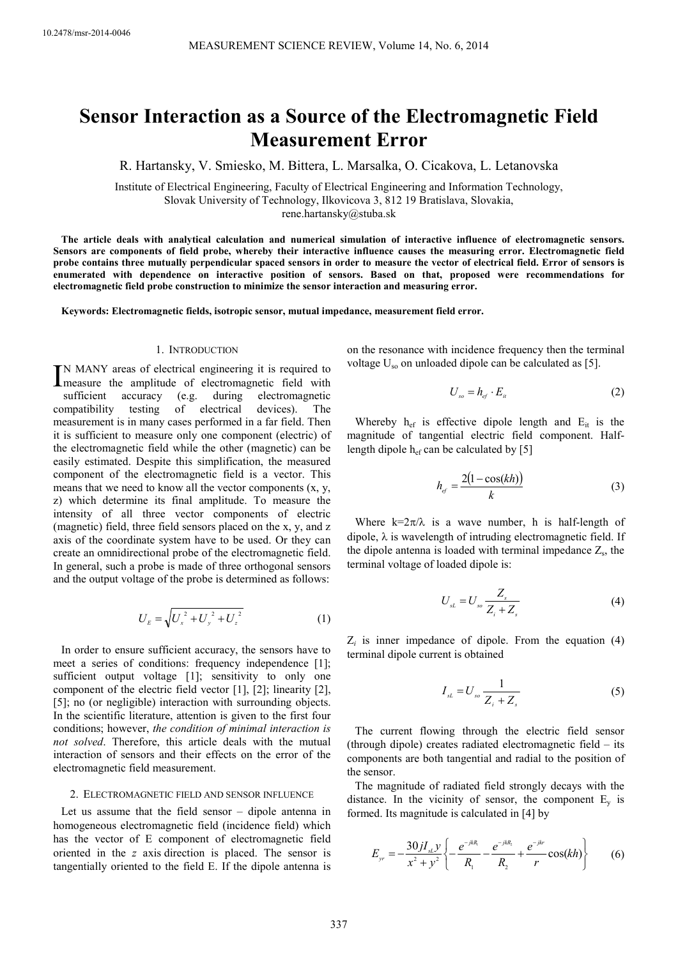# **Sensor Interaction as a Source of the Electromagnetic Field Measurement Error**

R. Hartansky, V. Smiesko, M. Bittera, L. Marsalka, O. Cicakova, L. Letanovska

Institute of Electrical Engineering, Faculty of Electrical Engineering and Information Technology, Slovak University of Technology, Ilkovicova 3, 812 19 Bratislava, Slovakia,

rene.hartansky@stuba.sk

**The article deals with analytical calculation and numerical simulation of interactive influence of electromagnetic sensors. Sensors are components of field probe, whereby their interactive influence causes the measuring error. Electromagnetic field probe contains three mutually perpendicular spaced sensors in order to measure the vector of electrical field. Error of sensors is enumerated with dependence on interactive position of sensors. Based on that, proposed were recommendations for electromagnetic field probe construction to minimize the sensor interaction and measuring error.** 

**Keywords: Electromagnetic fields, isotropic sensor, mutual impedance, measurement field error.** 

### 1. INTRODUCTION

N MANY areas of electrical engineering it is required to IN MANY areas of electrical engineering it is required to measure the amplitude of electromagnetic field with sufficient accuracy (e.g. during electromagnetic compatibility testing of electrical devices). The measurement is in many cases performed in a far field. Then it is sufficient to measure only one component (electric) of the electromagnetic field while the other (magnetic) can be easily estimated. Despite this simplification, the measured component of the electromagnetic field is a vector. This means that we need to know all the vector components (x, y, z) which determine its final amplitude. To measure the intensity of all three vector components of electric (magnetic) field, three field sensors placed on the x, y, and z axis of the coordinate system have to be used. Or they can create an omnidirectional probe of the electromagnetic field. In general, such a probe is made of three orthogonal sensors and the output voltage of the probe is determined as follows:

$$
U_{E} = \sqrt{U_{x}^{2} + U_{y}^{2} + U_{z}^{2}}
$$
 (1)

In order to ensure sufficient accuracy, the sensors have to meet a series of conditions: frequency independence [1]; sufficient output voltage [1]; sensitivity to only one component of the electric field vector [1], [2]; linearity [2], [5]; no (or negligible) interaction with surrounding objects. In the scientific literature, attention is given to the first four conditions; however, *the condition of minimal interaction is not solved*. Therefore, this article deals with the mutual interaction of sensors and their effects on the error of the electromagnetic field measurement.

#### 2. ELECTROMAGNETIC FIELD AND SENSOR INFLUENCE

Let us assume that the field sensor – dipole antenna in homogeneous electromagnetic field (incidence field) which has the vector of E component of electromagnetic field oriented in the *z* axis direction is placed. The sensor is tangentially oriented to the field E. If the dipole antenna is on the resonance with incidence frequency then the terminal voltage  $U_{\rm so}$  on unloaded dipole can be calculated as [5].

$$
U_{\scriptscriptstyle so} = h_{\scriptscriptstyle ef} \cdot E_{\scriptscriptstyle it} \tag{2}
$$

Whereby  $h_{\text{ef}}$  is effective dipole length and  $E_{\text{it}}$  is the magnitude of tangential electric field component. Halflength dipole  $h_{\text{ef}}$  can be calculated by [5]

$$
h_{ef} = \frac{2(1 - \cos(kh))}{k} \tag{3}
$$

Where  $k=2\pi/\lambda$  is a wave number, h is half-length of dipole,  $\lambda$  is wavelength of intruding electromagnetic field. If the dipole antenna is loaded with terminal impedance  $Z_s$ , the terminal voltage of loaded dipole is:

$$
U_{sL} = U_{so} \frac{Z_s}{Z_i + Z_s} \tag{4}
$$

 $Z_i$  is inner impedance of dipole. From the equation  $(4)$ terminal dipole current is obtained

$$
I_{sL} = U_{so} \frac{1}{Z_i + Z_s} \tag{5}
$$

The current flowing through the electric field sensor (through dipole) creates radiated electromagnetic field – its components are both tangential and radial to the position of the sensor.

The magnitude of radiated field strongly decays with the distance. In the vicinity of sensor, the component  $E_v$  is formed. Its magnitude is calculated in [4] by

$$
E_{y_r} = -\frac{30jI_{sL}y}{x^2 + y^2} \left\{ -\frac{e^{-j k R_1}}{R_1} - \frac{e^{-j k R_2}}{R_2} + \frac{e^{-j k r}}{r} \cos(k h) \right\}
$$
(6)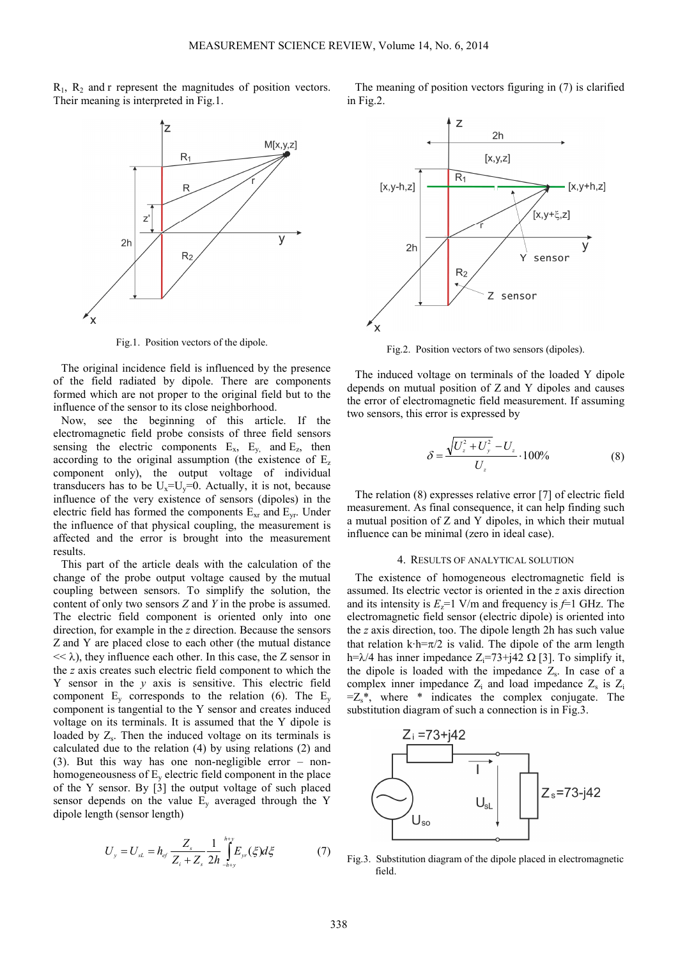$R_1$ ,  $R_2$  and r represent the magnitudes of position vectors. Their meaning is interpreted in Fig.1.



Fig.1. Position vectors of the dipole.

The original incidence field is influenced by the presence of the field radiated by dipole. There are components formed which are not proper to the original field but to the influence of the sensor to its close neighborhood.

Now, see the beginning of this article. If the electromagnetic field probe consists of three field sensors sensing the electric components  $E_x$ ,  $E_y$ , and  $E_z$ , then according to the original assumption (the existence of E<sup>z</sup> component only), the output voltage of individual transducers has to be  $U_x=U_y=0$ . Actually, it is not, because influence of the very existence of sensors (dipoles) in the electric field has formed the components  $E_{xr}$  and  $E_{yr}$ . Under the influence of that physical coupling, the measurement is affected and the error is brought into the measurement results.

This part of the article deals with the calculation of the change of the probe output voltage caused by the mutual coupling between sensors. To simplify the solution, the content of only two sensors *Z* and *Y* in the probe is assumed. The electric field component is oriented only into one direction, for example in the *z* direction. Because the sensors Z and Y are placed close to each other (the mutual distance  $<< \lambda$ ), they influence each other. In this case, the Z sensor in the *z* axis creates such electric field component to which the Y sensor in the *y* axis is sensitive. This electric field component  $E_v$  corresponds to the relation (6). The  $E_v$ component is tangential to the Y sensor and creates induced voltage on its terminals. It is assumed that the Y dipole is loaded by  $Z_s$ . Then the induced voltage on its terminals is calculated due to the relation (4) by using relations (2) and (3). But this way has one non-negligible error – nonhomogeneousness of  $E_v$  electric field component in the place of the Y sensor. By [3] the output voltage of such placed sensor depends on the value  $E_v$  averaged through the Y dipole length (sensor length)

$$
U_{y} = U_{sL} = h_{ef} \frac{Z_{s}}{Z_{i} + Z_{s}} \frac{1}{2h} \int_{-h+y}^{h+y} E_{yr}(\xi) d\xi
$$
 (7)

The meaning of position vectors figuring in (7) is clarified in Fig.2.



Fig.2. Position vectors of two sensors (dipoles).

The induced voltage on terminals of the loaded Y dipole depends on mutual position of Z and Y dipoles and causes the error of electromagnetic field measurement. If assuming two sensors, this error is expressed by

$$
\delta = \frac{\sqrt{U_z^2 + U_y^2} - U_z}{U_z} \cdot 100\% \tag{8}
$$

The relation (8) expresses relative error [7] of electric field measurement. As final consequence, it can help finding such a mutual position of Z and Y dipoles, in which their mutual influence can be minimal (zero in ideal case).

#### 4. RESULTS OF ANALYTICAL SOLUTION

The existence of homogeneous electromagnetic field is assumed. Its electric vector is oriented in the *z* axis direction and its intensity is  $E_z = 1$  V/m and frequency is  $f=1$  GHz. The electromagnetic field sensor (electric dipole) is oriented into the *z* axis direction, too. The dipole length 2h has such value that relation k·h= $\pi/2$  is valid. The dipole of the arm length h= $\lambda$ /4 has inner impedance Z<sub>i</sub>=73+j42 Ω [3]. To simplify it, the dipole is loaded with the impedance  $Z_s$ . In case of a complex inner impedance  $Z_i$  and load impedance  $Z_s$  is  $Z_i$  $=Z_s^*$ , where \* indicates the complex conjugate. The substitution diagram of such a connection is in Fig.3.



Fig.3. Substitution diagram of the dipole placed in electromagnetic field.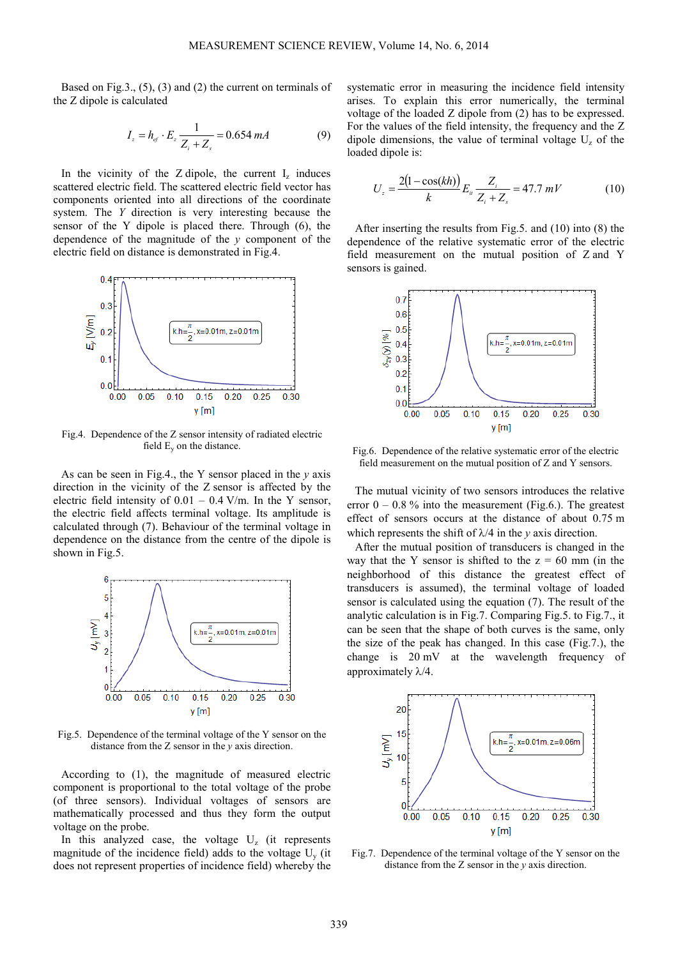Based on Fig.3., (5), (3) and (2) the current on terminals of the Z dipole is calculated

$$
I_z = h_{ef} \cdot E_z \frac{1}{Z_i + Z_s} = 0.654 \, mA \tag{9}
$$

In the vicinity of the  $Z$  dipole, the current  $I_z$  induces scattered electric field. The scattered electric field vector has components oriented into all directions of the coordinate system. The *Y* direction is very interesting because the sensor of the Y dipole is placed there. Through (6), the dependence of the magnitude of the *y* component of the electric field on distance is demonstrated in Fig.4.



Fig.4. Dependence of the Z sensor intensity of radiated electric field  $E_y$  on the distance.

As can be seen in Fig.4., the Y sensor placed in the *y* axis direction in the vicinity of the Z sensor is affected by the electric field intensity of  $0.01 - 0.4$  V/m. In the Y sensor, the electric field affects terminal voltage. Its amplitude is calculated through (7). Behaviour of the terminal voltage in dependence on the distance from the centre of the dipole is shown in Fig.5.



Fig.5. Dependence of the terminal voltage of the Y sensor on the distance from the Z sensor in the *y* axis direction.

According to (1), the magnitude of measured electric component is proportional to the total voltage of the probe (of three sensors). Individual voltages of sensors are mathematically processed and thus they form the output voltage on the probe.

In this analyzed case, the voltage  $U_z$  (it represents magnitude of the incidence field) adds to the voltage  $U_y$  (it does not represent properties of incidence field) whereby the

systematic error in measuring the incidence field intensity arises. To explain this error numerically, the terminal voltage of the loaded Z dipole from (2) has to be expressed. For the values of the field intensity, the frequency and the Z dipole dimensions, the value of terminal voltage  $U_z$  of the loaded dipole is:

$$
U_z = \frac{2(1 - \cos(kh))}{k} E_u \frac{Z_i}{Z_i + Z_s} = 47.7 \, mV \tag{10}
$$

After inserting the results from Fig.5. and (10) into (8) the dependence of the relative systematic error of the electric field measurement on the mutual position of Z and Y sensors is gained.



Fig.6. Dependence of the relative systematic error of the electric field measurement on the mutual position of Z and Y sensors.

The mutual vicinity of two sensors introduces the relative error  $0 - 0.8$  % into the measurement (Fig.6.). The greatest effect of sensors occurs at the distance of about 0.75 m which represents the shift of  $\lambda/4$  in the *v* axis direction.

After the mutual position of transducers is changed in the way that the Y sensor is shifted to the  $z = 60$  mm (in the neighborhood of this distance the greatest effect of transducers is assumed), the terminal voltage of loaded sensor is calculated using the equation (7). The result of the analytic calculation is in Fig.7. Comparing Fig.5. to Fig.7., it can be seen that the shape of both curves is the same, only the size of the peak has changed. In this case (Fig.7.), the change is 20 mV at the wavelength frequency of approximately  $\lambda/4$ .



Fig.7. Dependence of the terminal voltage of the Y sensor on the distance from the Z sensor in the *y* axis direction.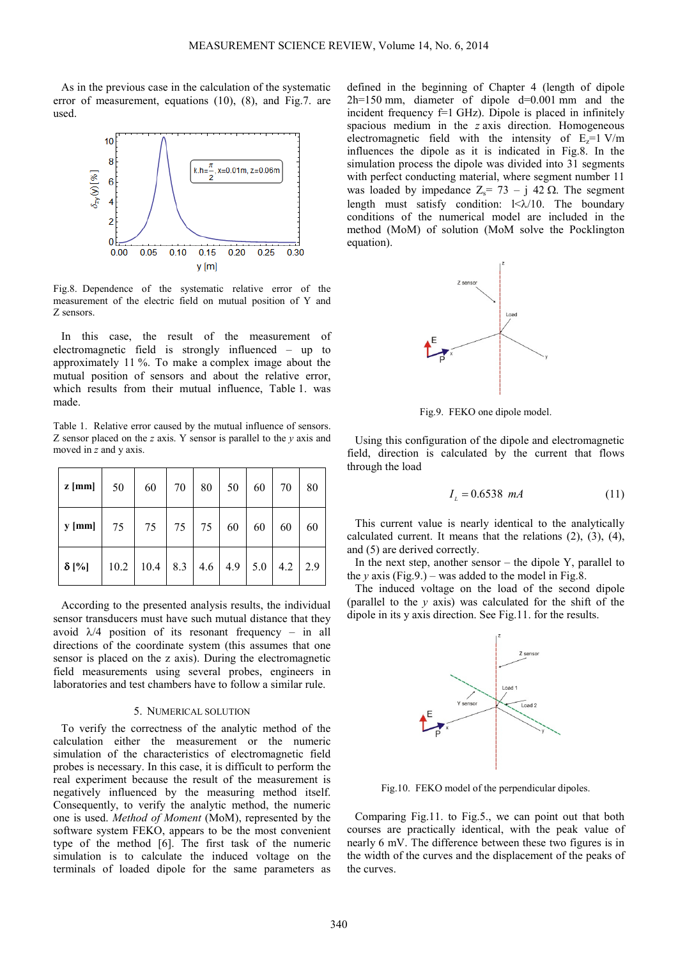As in the previous case in the calculation of the systematic error of measurement, equations (10), (8), and Fig.7. are used.



Fig.8. Dependence of the systematic relative error of the measurement of the electric field on mutual position of Y and Z sensors.

In this case, the result of the measurement of electromagnetic field is strongly influenced – up to approximately 11 %. To make a complex image about the mutual position of sensors and about the relative error, which results from their mutual influence, Table 1. was made.

Table 1. Relative error caused by the mutual influence of sensors. Z sensor placed on the *z* axis. Y sensor is parallel to the *y* axis and moved in *z* and y axis.

| $z$ [mm]     | 50   | 60   | 70        | 80            | 50 | 60  | 70 | 80          |
|--------------|------|------|-----------|---------------|----|-----|----|-------------|
| $y$ [mm]     | 75   | 75   | $75 \mid$ | 75            | 60 | 60  | 60 | 60          |
| $\delta$ [%] | 10.2 | 10.4 |           | $8.3$ 4.6 4.9 |    | 5.0 |    | $4.2$   2.9 |

According to the presented analysis results, the individual sensor transducers must have such mutual distance that they avoid  $\lambda/4$  position of its resonant frequency – in all directions of the coordinate system (this assumes that one sensor is placed on the z axis). During the electromagnetic field measurements using several probes, engineers in laboratories and test chambers have to follow a similar rule.

#### 5. NUMERICAL SOLUTION

To verify the correctness of the analytic method of the calculation either the measurement or the numeric simulation of the characteristics of electromagnetic field probes is necessary. In this case, it is difficult to perform the real experiment because the result of the measurement is negatively influenced by the measuring method itself. Consequently, to verify the analytic method, the numeric one is used. *Method of Moment* (MoM), represented by the software system FEKO, appears to be the most convenient type of the method [6]. The first task of the numeric simulation is to calculate the induced voltage on the terminals of loaded dipole for the same parameters as defined in the beginning of Chapter 4 (length of dipole 2h=150 mm, diameter of dipole d=0.001 mm and the incident frequency  $f=1$  GHz). Dipole is placed in infinitely spacious medium in the *z* axis direction. Homogeneous electromagnetic field with the intensity of  $E_z=1$  V/m influences the dipole as it is indicated in Fig.8. In the simulation process the dipole was divided into 31 segments with perfect conducting material, where segment number 11 was loaded by impedance  $Z_s = 73 - i 42 \Omega$ . The segment length must satisfy condition:  $\frac{\leq \lambda}{10}$ . The boundary conditions of the numerical model are included in the method (MoM) of solution (MoM solve the Pocklington equation).



Fig.9. FEKO one dipole model.

Using this configuration of the dipole and electromagnetic field, direction is calculated by the current that flows through the load

$$
I_L = 0.6538 \text{ mA} \tag{11}
$$

This current value is nearly identical to the analytically calculated current. It means that the relations (2), (3), (4), and (5) are derived correctly.

In the next step, another sensor  $-$  the dipole Y, parallel to the *y* axis (Fig.9.) – was added to the model in Fig.8.

The induced voltage on the load of the second dipole (parallel to the *y* axis) was calculated for the shift of the dipole in its y axis direction. See Fig.11. for the results.



Fig.10. FEKO model of the perpendicular dipoles.

Comparing Fig.11. to Fig.5., we can point out that both courses are practically identical, with the peak value of nearly 6 mV. The difference between these two figures is in the width of the curves and the displacement of the peaks of the curves.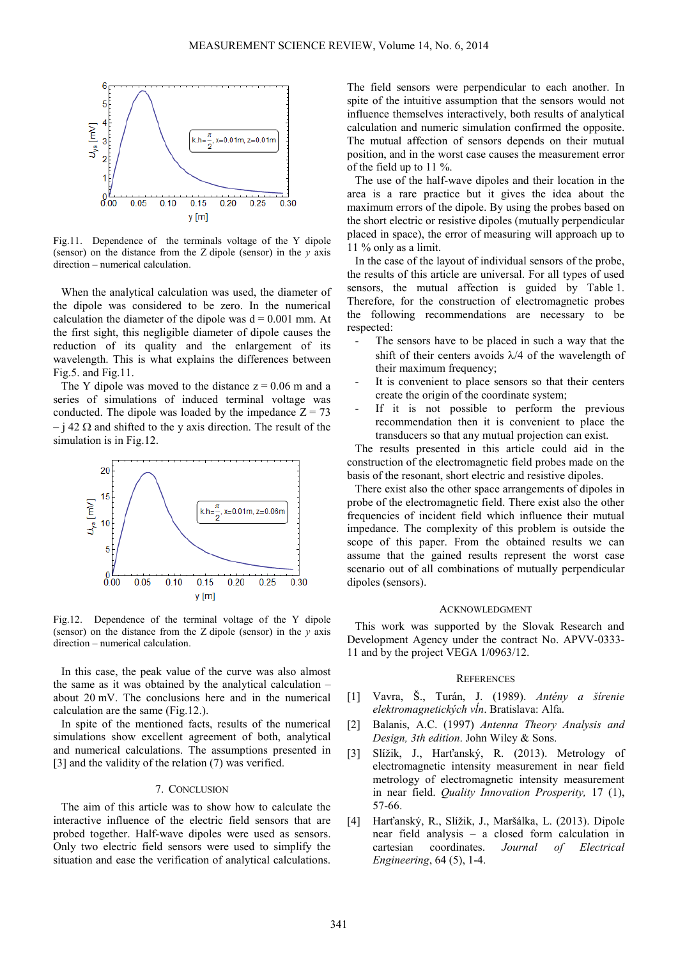

Fig.11. Dependence of the terminals voltage of the Y dipole (sensor) on the distance from the Z dipole (sensor) in the *y* axis direction – numerical calculation.

When the analytical calculation was used, the diameter of the dipole was considered to be zero. In the numerical calculation the diameter of the dipole was  $d = 0.001$  mm. At the first sight, this negligible diameter of dipole causes the reduction of its quality and the enlargement of its wavelength. This is what explains the differences between Fig.5. and Fig.11.

The Y dipole was moved to the distance  $z = 0.06$  m and a series of simulations of induced terminal voltage was conducted. The dipole was loaded by the impedance  $Z = 73$  $-$  j 42  $\Omega$  and shifted to the y axis direction. The result of the simulation is in Fig.12.



Fig.12. Dependence of the terminal voltage of the Y dipole (sensor) on the distance from the Z dipole (sensor) in the *y* axis direction – numerical calculation.

In this case, the peak value of the curve was also almost the same as it was obtained by the analytical calculation – about 20 mV. The conclusions here and in the numerical calculation are the same (Fig.12.).

In spite of the mentioned facts, results of the numerical simulations show excellent agreement of both, analytical and numerical calculations. The assumptions presented in [3] and the validity of the relation (7) was verified.

## 7. CONCLUSION

The aim of this article was to show how to calculate the interactive influence of the electric field sensors that are probed together. Half-wave dipoles were used as sensors. Only two electric field sensors were used to simplify the situation and ease the verification of analytical calculations. The field sensors were perpendicular to each another. In spite of the intuitive assumption that the sensors would not influence themselves interactively, both results of analytical calculation and numeric simulation confirmed the opposite. The mutual affection of sensors depends on their mutual position, and in the worst case causes the measurement error of the field up to 11 %.

The use of the half-wave dipoles and their location in the area is a rare practice but it gives the idea about the maximum errors of the dipole. By using the probes based on the short electric or resistive dipoles (mutually perpendicular placed in space), the error of measuring will approach up to 11 % only as a limit.

In the case of the layout of individual sensors of the probe, the results of this article are universal. For all types of used sensors, the mutual affection is guided by Table 1. Therefore, for the construction of electromagnetic probes the following recommendations are necessary to be respected:

- The sensors have to be placed in such a way that the shift of their centers avoids  $\lambda/4$  of the wavelength of their maximum frequency:
- It is convenient to place sensors so that their centers create the origin of the coordinate system;
- If it is not possible to perform the previous recommendation then it is convenient to place the transducers so that any mutual projection can exist.

The results presented in this article could aid in the construction of the electromagnetic field probes made on the basis of the resonant, short electric and resistive dipoles.

There exist also the other space arrangements of dipoles in probe of the electromagnetic field. There exist also the other frequencies of incident field which influence their mutual impedance. The complexity of this problem is outside the scope of this paper. From the obtained results we can assume that the gained results represent the worst case scenario out of all combinations of mutually perpendicular dipoles (sensors).

#### ACKNOWLEDGMENT

This work was supported by the Slovak Research and Development Agency under the contract No. APVV-0333- 11 and by the project VEGA 1/0963/12.

#### **REFERENCES**

- [1] Vavra, Š., Turán, J. (1989). *Antény a šírenie elektromagnetických vĺn*. Bratislava: Alfa.
- [2] Balanis, A.C. (1997) *Antenna Theory Analysis and Design, 3th edition*. John Wiley & Sons.
- [3] Slížik, J., Harťanský, R. (2013). Metrology of electromagnetic intensity measurement in near field metrology of electromagnetic intensity measurement in near field. *Quality Innovation Prosperity,* 17 (1), 57-66.
- [4] Harťanský, R., Slížik, J., Maršálka, L. (2013). Dipole near field analysis – a closed form calculation in cartesian coordinates. *Journal of Electrical Engineering*, 64 (5), 1-4.